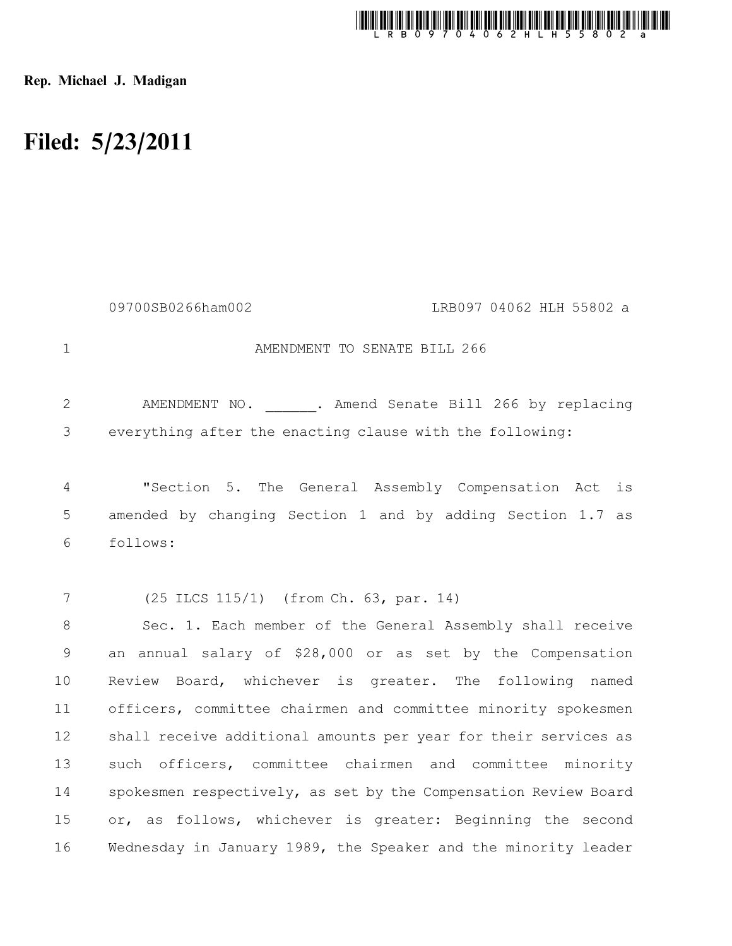

Rep. Michael J. Madigan

## Filed: 5/23/2011

|                | 09700SB0266ham002<br>LRB097 04062 HLH 55802 a                   |
|----------------|-----------------------------------------------------------------|
| $\mathbf 1$    | AMENDMENT TO SENATE BILL 266                                    |
| $\overline{2}$ | AMENDMENT NO. . Amend Senate Bill 266 by replacing              |
| 3              | everything after the enacting clause with the following:        |
| $\overline{4}$ | "Section 5. The General Assembly Compensation Act<br>is         |
| 5              | amended by changing Section 1 and by adding Section 1.7 as      |
| 6              | follows:                                                        |
|                |                                                                 |
| 7              | (25 ILCS 115/1) (from Ch. 63, par. 14)                          |
| $8\,$          | Sec. 1. Each member of the General Assembly shall receive       |
| $\mathsf 9$    | an annual salary of \$28,000 or as set by the Compensation      |
| 10             | Review Board, whichever is greater. The following named         |
| 11             | officers, committee chairmen and committee minority spokesmen   |
| 12             | shall receive additional amounts per year for their services as |
| 13             | such officers, committee chairmen and committee minority        |
| 14             | spokesmen respectively, as set by the Compensation Review Board |
| 15             | or, as follows, whichever is greater: Beginning the second      |
| 16             | Wednesday in January 1989, the Speaker and the minority leader  |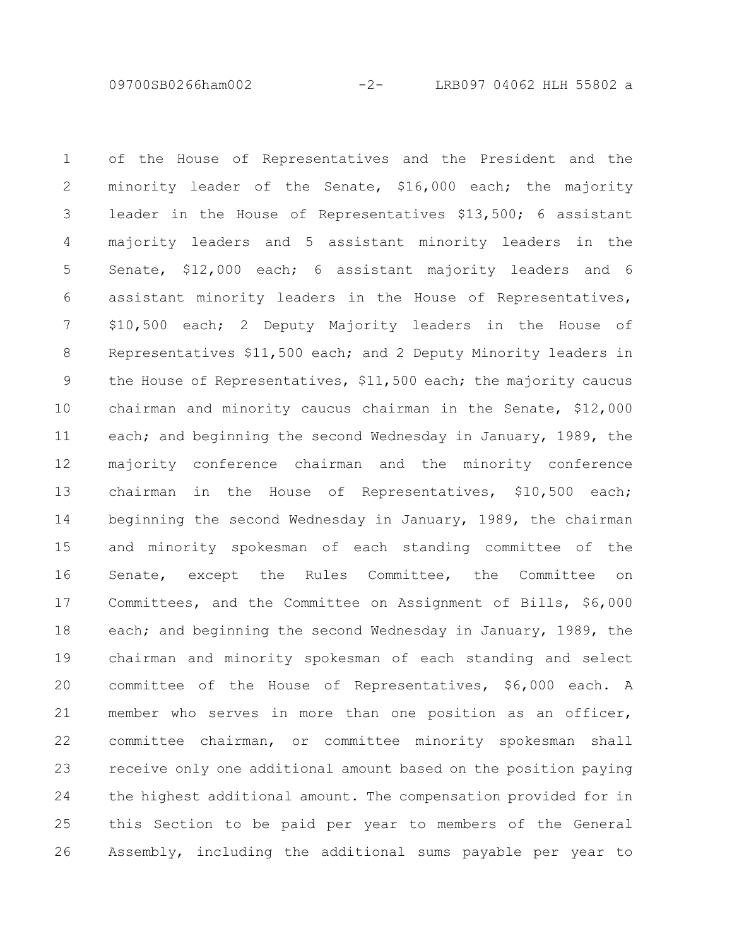09700SB0266ham002 -2- LRB097 04062 HLH 55802 a

of the House of Representatives and the President and the minority leader of the Senate, \$16,000 each; the majority leader in the House of Representatives \$13,500; 6 assistant majority leaders and 5 assistant minority leaders in the Senate, \$12,000 each; 6 assistant majority leaders and 6 assistant minority leaders in the House of Representatives, \$10,500 each; 2 Deputy Majority leaders in the House of Representatives \$11,500 each; and 2 Deputy Minority leaders in the House of Representatives, \$11,500 each; the majority caucus chairman and minority caucus chairman in the Senate, \$12,000 each; and beginning the second Wednesday in January, 1989, the majority conference chairman and the minority conference chairman in the House of Representatives, \$10,500 each; beginning the second Wednesday in January, 1989, the chairman and minority spokesman of each standing committee of the Senate, except the Rules Committee, the Committee on Committees, and the Committee on Assignment of Bills, \$6,000 each; and beginning the second Wednesday in January, 1989, the chairman and minority spokesman of each standing and select committee of the House of Representatives, \$6,000 each. A member who serves in more than one position as an officer, committee chairman, or committee minority spokesman shall receive only one additional amount based on the position paying the highest additional amount. The compensation provided for in this Section to be paid per year to members of the General Assembly, including the additional sums payable per year to 1 2 3 4 5 6 7 8 9 10 11 12 13 14 15 16 17 18 19 20 21 22 23 24 25 26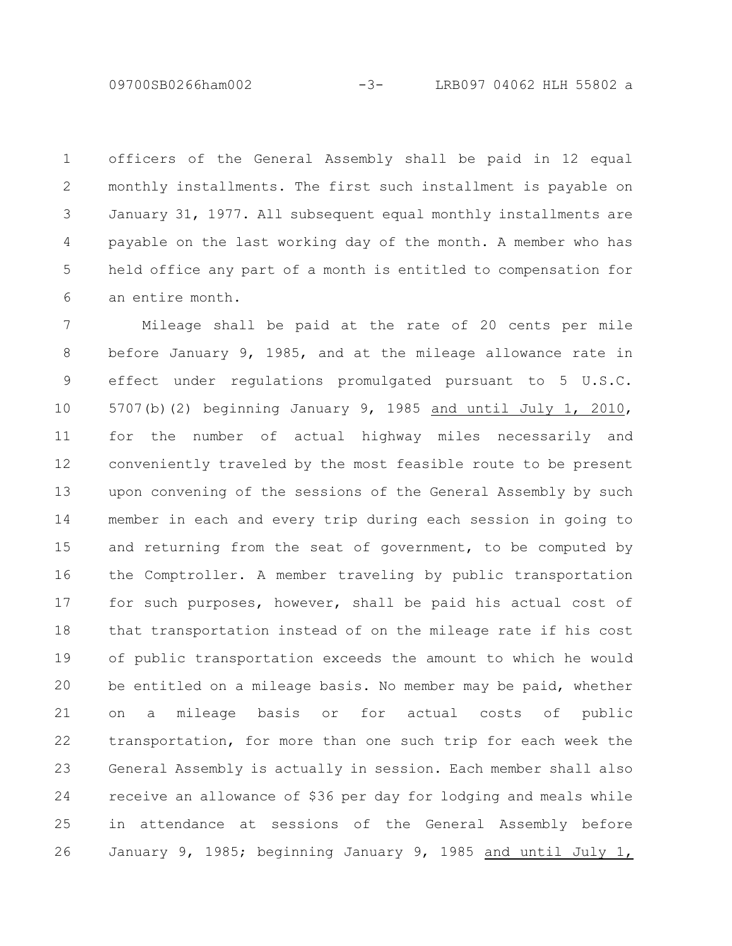09700SB0266ham002 -3- LRB097 04062 HLH 55802 a

officers of the General Assembly shall be paid in 12 equal monthly installments. The first such installment is payable on January 31, 1977. All subsequent equal monthly installments are payable on the last working day of the month. A member who has held office any part of a month is entitled to compensation for an entire month. 1 2 3 4 5 6

Mileage shall be paid at the rate of 20 cents per mile before January 9, 1985, and at the mileage allowance rate in effect under regulations promulgated pursuant to 5 U.S.C. 5707(b)(2) beginning January 9, 1985 and until July 1, 2010, for the number of actual highway miles necessarily and conveniently traveled by the most feasible route to be present upon convening of the sessions of the General Assembly by such member in each and every trip during each session in going to and returning from the seat of government, to be computed by the Comptroller. A member traveling by public transportation for such purposes, however, shall be paid his actual cost of that transportation instead of on the mileage rate if his cost of public transportation exceeds the amount to which he would be entitled on a mileage basis. No member may be paid, whether on a mileage basis or for actual costs of public transportation, for more than one such trip for each week the General Assembly is actually in session. Each member shall also receive an allowance of \$36 per day for lodging and meals while in attendance at sessions of the General Assembly before January 9, 1985; beginning January 9, 1985 and until July 1, 7 8 9 10 11 12 13 14 15 16 17 18 19 20 21 22 23 24 25 26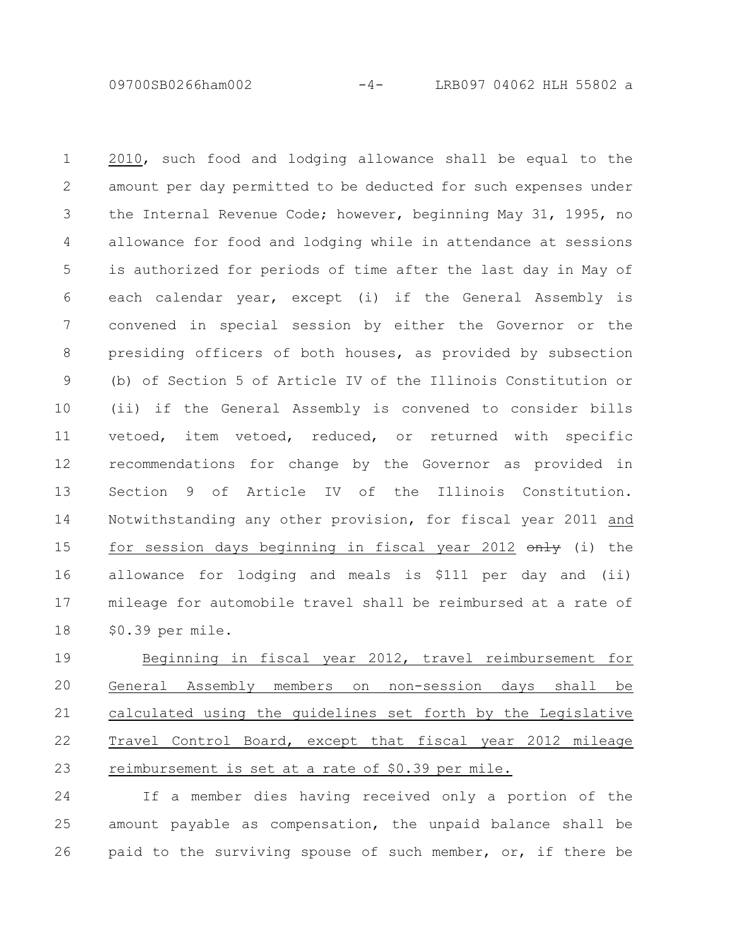09700SB0266ham002 -4- LRB097 04062 HLH 55802 a

2010, such food and lodging allowance shall be equal to the amount per day permitted to be deducted for such expenses under the Internal Revenue Code; however, beginning May 31, 1995, no allowance for food and lodging while in attendance at sessions is authorized for periods of time after the last day in May of each calendar year, except (i) if the General Assembly is convened in special session by either the Governor or the presiding officers of both houses, as provided by subsection (b) of Section 5 of Article IV of the Illinois Constitution or (ii) if the General Assembly is convened to consider bills vetoed, item vetoed, reduced, or returned with specific recommendations for change by the Governor as provided in Section 9 of Article IV of the Illinois Constitution. Notwithstanding any other provision, for fiscal year 2011 and for session days beginning in fiscal year 2012  $\theta$ nly (i) the allowance for lodging and meals is \$111 per day and (ii) mileage for automobile travel shall be reimbursed at a rate of \$0.39 per mile. 1 2 3 4 5 6 7 8 9 10 11 12 13 14 15 16 17 18

Beginning in fiscal year 2012, travel reimbursement for General Assembly members on non-session days shall be calculated using the guidelines set forth by the Legislative Travel Control Board, except that fiscal year 2012 mileage reimbursement is set at a rate of \$0.39 per mile. 19 20 21 22 23

If a member dies having received only a portion of the amount payable as compensation, the unpaid balance shall be paid to the surviving spouse of such member, or, if there be 24 25 26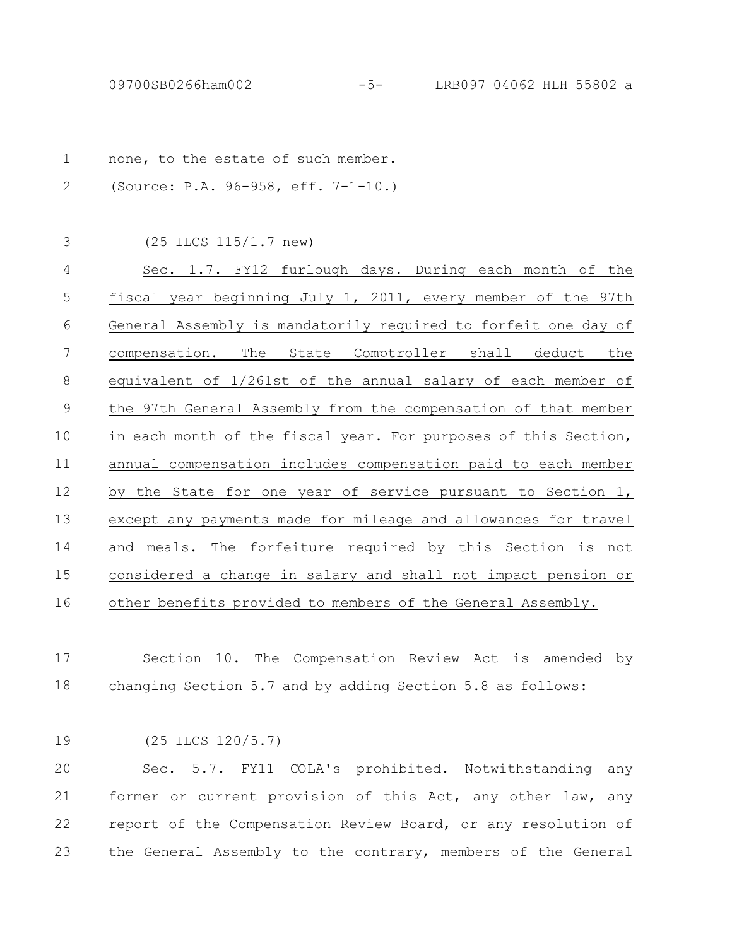| $\mathbf 1$ | none, to the estate of such member.                             |
|-------------|-----------------------------------------------------------------|
| 2           | (Source: P.A. 96-958, eff. 7-1-10.)                             |
|             |                                                                 |
| 3           | $(25$ ILCS $115/1.7$ new)                                       |
| 4           | Sec. 1.7. FY12 furlough days. During each month of the          |
| 5           | fiscal year beginning July 1, 2011, every member of the 97th    |
| 6           | General Assembly is mandatorily required to forfeit one day of  |
| 7           | The State Comptroller shall deduct the<br>compensation.         |
| 8           | equivalent of 1/261st of the annual salary of each member of    |
| 9           | the 97th General Assembly from the compensation of that member  |
| 10          | in each month of the fiscal year. For purposes of this Section, |
| 11          | annual compensation includes compensation paid to each member   |
| 12          | by the State for one year of service pursuant to Section $1$ ,  |
| 13          | except any payments made for mileage and allowances for travel  |
| 14          | and meals. The forfeiture required by this Section is not       |
| 15          | considered a change in salary and shall not impact pension or   |
| 16          | other benefits provided to members of the General Assembly.     |
|             |                                                                 |

Section 10. The Compensation Review Act is amended by changing Section 5.7 and by adding Section 5.8 as follows: 17 18

(25 ILCS 120/5.7) 19

Sec. 5.7. FY11 COLA's prohibited. Notwithstanding any former or current provision of this Act, any other law, any report of the Compensation Review Board, or any resolution of the General Assembly to the contrary, members of the General 20 21 22 23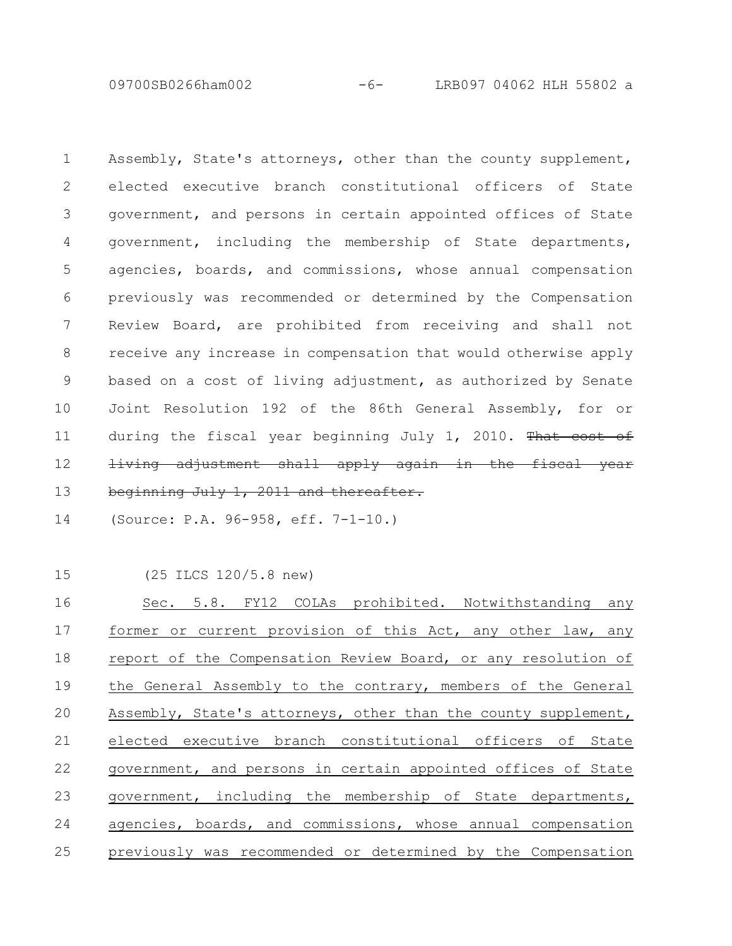09700SB0266ham002 -6- LRB097 04062 HLH 55802 a

Assembly, State's attorneys, other than the county supplement, elected executive branch constitutional officers of State government, and persons in certain appointed offices of State government, including the membership of State departments, agencies, boards, and commissions, whose annual compensation previously was recommended or determined by the Compensation Review Board, are prohibited from receiving and shall not receive any increase in compensation that would otherwise apply based on a cost of living adjustment, as authorized by Senate Joint Resolution 192 of the 86th General Assembly, for or during the fiscal year beginning July  $1, 2010$ . That cost of living adjustment shall apply again in the fiscal year beginning July 1, 2011 and thereafter. 1 2 3 4 5 6 7 8 9 10 11 12 13

(Source: P.A. 96-958, eff. 7-1-10.) 14

15

(25 ILCS 120/5.8 new)

Sec. 5.8. FY12 COLAs prohibited. Notwithstanding any former or current provision of this Act, any other law, any report of the Compensation Review Board, or any resolution of the General Assembly to the contrary, members of the General Assembly, State's attorneys, other than the county supplement, elected executive branch constitutional officers of State government, and persons in certain appointed offices of State government, including the membership of State departments, agencies, boards, and commissions, whose annual compensation previously was recommended or determined by the Compensation 16 17 18 19 20 21 22 23 24 25